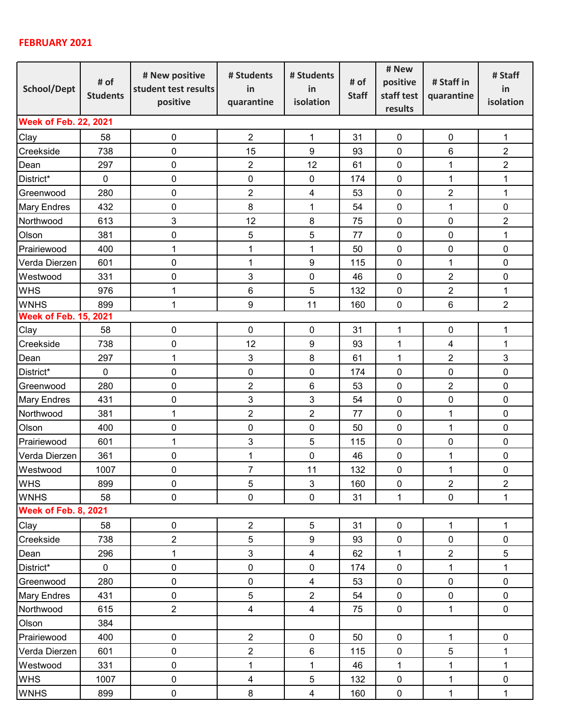## **FEBRUARY 2021**

| School/Dept                  | # of<br><b>Students</b> | # New positive<br>student test results<br>positive | # Students<br>in        | # Students<br>in<br>isolation | # of<br><b>Staff</b> | # New        | # Staff in              | # Staff          |  |  |  |
|------------------------------|-------------------------|----------------------------------------------------|-------------------------|-------------------------------|----------------------|--------------|-------------------------|------------------|--|--|--|
|                              |                         |                                                    |                         |                               |                      | positive     |                         | in               |  |  |  |
|                              |                         |                                                    |                         |                               |                      | staff test   | quarantine              | isolation        |  |  |  |
|                              |                         |                                                    | quarantine              |                               |                      | results      |                         |                  |  |  |  |
| <b>Week of Feb. 22, 2021</b> |                         |                                                    |                         |                               |                      |              |                         |                  |  |  |  |
| Clay                         | 58                      | $\pmb{0}$                                          | $\overline{2}$          | 1                             | 31                   | $\pmb{0}$    | $\pmb{0}$               | 1                |  |  |  |
| Creekside                    | 738                     | $\pmb{0}$                                          | 15                      | $\boldsymbol{9}$              | 93                   | $\pmb{0}$    | 6                       | $\boldsymbol{2}$ |  |  |  |
| Dean                         | 297                     | 0                                                  | $\overline{2}$          | 12                            | 61                   | $\pmb{0}$    | $\mathbf 1$             | $\overline{2}$   |  |  |  |
| District*                    | $\mathbf 0$             | 0                                                  | $\pmb{0}$               | $\pmb{0}$                     | 174                  | $\pmb{0}$    | $\mathbf{1}$            | $\mathbf 1$      |  |  |  |
| Greenwood                    | 280                     | $\pmb{0}$                                          | $\overline{2}$          | 4                             | 53                   | $\mathbf 0$  | $\overline{2}$          | $\mathbf 1$      |  |  |  |
| <b>Mary Endres</b>           | 432                     | $\pmb{0}$                                          | 8                       | 1                             | 54                   | $\pmb{0}$    | 1                       | 0                |  |  |  |
| Northwood                    | 613                     | 3                                                  | 12                      | $\,8\,$                       | 75                   | $\mathbf 0$  | 0                       | $\overline{2}$   |  |  |  |
| Olson                        | 381                     | 0                                                  | 5                       | 5                             | 77                   | $\mathbf 0$  | $\mathbf 0$             | 1                |  |  |  |
| Prairiewood                  | 400                     | 1                                                  | 1                       | 1                             | 50                   | $\pmb{0}$    | 0                       | $\pmb{0}$        |  |  |  |
| Verda Dierzen                | 601                     | $\pmb{0}$                                          | $\mathbf{1}$            | $\boldsymbol{9}$              | 115                  | $\pmb{0}$    | $\mathbf 1$             | $\pmb{0}$        |  |  |  |
| Westwood                     | 331                     | $\pmb{0}$                                          | 3                       | $\pmb{0}$                     | 46                   | $\mathbf 0$  | $\overline{2}$          | $\pmb{0}$        |  |  |  |
| <b>WHS</b>                   | 976                     | 1                                                  | 6                       | 5                             | 132                  | $\mathbf 0$  | $\overline{2}$          | 1                |  |  |  |
| <b>WNHS</b>                  | 899                     | $\mathbf 1$                                        | 9                       | 11                            | 160                  | $\pmb{0}$    | 6                       | $\overline{2}$   |  |  |  |
| <b>Week of Feb. 15, 2021</b> |                         |                                                    |                         |                               |                      |              |                         |                  |  |  |  |
| Clay                         | 58                      | 0                                                  | 0                       | $\pmb{0}$                     | 31                   | 1            | $\pmb{0}$               | $\mathbf{1}$     |  |  |  |
| Creekside                    | 738                     | 0                                                  | 12                      | 9                             | 93                   | 1            | $\overline{\mathbf{4}}$ | 1                |  |  |  |
| Dean                         | 297                     | 1                                                  | 3                       | 8                             | 61                   | $\mathbf 1$  | $\overline{2}$          | $\mathbf{3}$     |  |  |  |
| District*                    | $\pmb{0}$               | $\pmb{0}$                                          | $\pmb{0}$               | 0                             | 174                  | $\pmb{0}$    | $\pmb{0}$               | $\pmb{0}$        |  |  |  |
| Greenwood                    | 280                     | $\mathbf 0$                                        | $\overline{2}$          | 6                             | 53                   | $\mathbf 0$  | $\overline{2}$          | 0                |  |  |  |
| <b>Mary Endres</b>           | 431                     | 0                                                  | 3                       | 3                             | 54                   | $\mathbf 0$  | 0                       | 0                |  |  |  |
| Northwood                    | 381                     | 1                                                  | $\overline{2}$          | $\overline{2}$                | 77                   | $\mathbf 0$  | $\mathbf 1$             | 0                |  |  |  |
| Olson                        | 400                     | 0                                                  | 0                       | 0                             | 50                   | $\pmb{0}$    | $\mathbf 1$             | $\pmb{0}$        |  |  |  |
| Prairiewood                  | 601                     | $\mathbf 1$                                        | 3                       | 5                             | 115                  | $\mathbf 0$  | $\pmb{0}$               | $\pmb{0}$        |  |  |  |
| Verda Dierzen                | 361                     | $\pmb{0}$                                          | $\mathbf{1}$            | 0                             | 46                   | $\pmb{0}$    | $\mathbf{1}$            | 0                |  |  |  |
| Westwood                     | 1007                    | 0                                                  | $\overline{7}$          | 11                            | 132                  | $\mathbf 0$  | $\mathbf 1$             | $\mathbf 0$      |  |  |  |
| <b>WHS</b>                   | 899                     | $\pmb{0}$                                          | 5                       | $\mathfrak{S}$                | 160                  | $\pmb{0}$    | $\overline{2}$          | $\overline{2}$   |  |  |  |
| <b>WNHS</b>                  | 58                      | $\pmb{0}$                                          | $\pmb{0}$               | $\pmb{0}$                     | 31                   | $\mathbf{1}$ | $\mathsf{O}\xspace$     | $\mathbf{1}$     |  |  |  |
| <b>Week of Feb. 8, 2021</b>  |                         |                                                    |                         |                               |                      |              |                         |                  |  |  |  |
| Clay                         | 58                      | $\pmb{0}$                                          | $\overline{2}$          | $\sqrt{5}$                    | 31                   | $\pmb{0}$    | $\mathbf{1}$            | $\mathbf{1}$     |  |  |  |
| Creekside                    | 738                     | $\overline{2}$                                     | $\sqrt{5}$              | $\boldsymbol{9}$              | 93                   | $\pmb{0}$    | $\pmb{0}$               | $\pmb{0}$        |  |  |  |
| Dean                         | 296                     | 1                                                  | $\mathbf{3}$            | $\overline{\mathbf{4}}$       | 62                   | $\mathbf 1$  | $\overline{2}$          | 5                |  |  |  |
| District*                    | $\mathbf 0$             | $\mathsf 0$                                        | $\pmb{0}$               | 0                             | 174                  | $\mathbf 0$  | $\mathbf{1}$            | $\mathbf{1}$     |  |  |  |
| Greenwood                    | 280                     | $\mathsf 0$                                        | $\pmb{0}$               | $\overline{\mathbf{4}}$       | 53                   | $\pmb{0}$    | $\mathsf{O}\xspace$     | $\pmb{0}$        |  |  |  |
| <b>Mary Endres</b>           | 431                     | $\pmb{0}$                                          | $\,$ 5 $\,$             | $\overline{2}$                | 54                   | $\pmb{0}$    | $\pmb{0}$               | $\mathbf 0$      |  |  |  |
| Northwood                    | 615                     | $\overline{2}$                                     | 4                       | $\overline{4}$                | 75                   | $\pmb{0}$    | $\mathbf{1}$            | $\mathbf 0$      |  |  |  |
| Olson                        | 384                     |                                                    |                         |                               |                      |              |                         |                  |  |  |  |
| Prairiewood                  | 400                     | $\pmb{0}$                                          | $\overline{2}$          | $\pmb{0}$                     | 50                   | $\pmb{0}$    | $\mathbf{1}$            | $\pmb{0}$        |  |  |  |
| Verda Dierzen                | 601                     | $\pmb{0}$                                          | $\overline{c}$          | $\,6\,$                       | 115                  | $\mathbf 0$  | 5                       | $\mathbf{1}$     |  |  |  |
| Westwood                     | 331                     | $\mathsf 0$                                        | $\mathbf 1$             | $\mathbf{1}$                  | 46                   | $\mathbf{1}$ | $\mathbf{1}$            | $\mathbf{1}$     |  |  |  |
| <b>WHS</b>                   | 1007                    | $\pmb{0}$                                          | $\overline{\mathbf{4}}$ | $\sqrt{5}$                    | 132                  | $\pmb{0}$    | $\mathbf{1}$            | $\pmb{0}$        |  |  |  |
| <b>WNHS</b>                  | 899                     | $\pmb{0}$                                          | 8                       | $\overline{\mathbf{4}}$       | 160                  | $\pmb{0}$    | $\mathbf{1}$            | $\mathbf{1}$     |  |  |  |